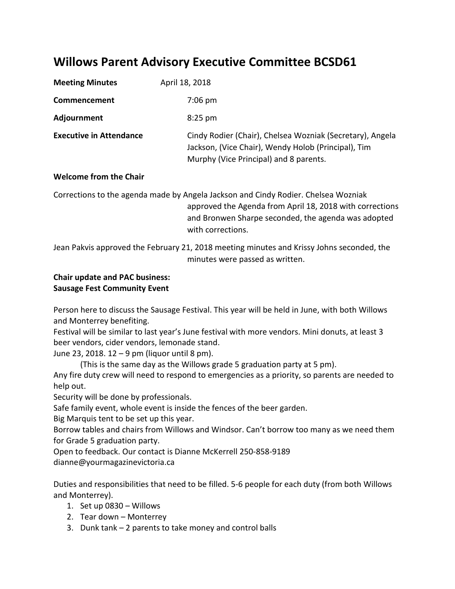# **Willows Parent Advisory Executive Committee BCSD61**

| <b>Meeting Minutes</b>         | April 18, 2018                                                                                                                                             |
|--------------------------------|------------------------------------------------------------------------------------------------------------------------------------------------------------|
| Commencement                   | $7:06$ pm                                                                                                                                                  |
| Adjournment                    | $8:25$ pm                                                                                                                                                  |
| <b>Executive in Attendance</b> | Cindy Rodier (Chair), Chelsea Wozniak (Secretary), Angela<br>Jackson, (Vice Chair), Wendy Holob (Principal), Tim<br>Murphy (Vice Principal) and 8 parents. |

## **Welcome from the Chair**

Corrections to the agenda made by Angela Jackson and Cindy Rodier. Chelsea Wozniak approved the Agenda from April 18, 2018 with corrections and Bronwen Sharpe seconded, the agenda was adopted with corrections.

Jean Pakvis approved the February 21, 2018 meeting minutes and Krissy Johns seconded, the minutes were passed as written.

## **Chair update and PAC business: Sausage Fest Community Event**

Person here to discuss the Sausage Festival. This year will be held in June, with both Willows and Monterrey benefiting.

Festival will be similar to last year's June festival with more vendors. Mini donuts, at least 3 beer vendors, cider vendors, lemonade stand.

June 23, 2018. 12 – 9 pm (liquor until 8 pm).

(This is the same day as the Willows grade 5 graduation party at 5 pm).

Any fire duty crew will need to respond to emergencies as a priority, so parents are needed to help out.

Security will be done by professionals.

Safe family event, whole event is inside the fences of the beer garden.

Big Marquis tent to be set up this year.

Borrow tables and chairs from Willows and Windsor. Can't borrow too many as we need them for Grade 5 graduation party.

Open to feedback. Our contact is Dianne McKerrell 250-858-9189 dianne@yourmagazinevictoria.ca

Duties and responsibilities that need to be filled. 5-6 people for each duty (from both Willows and Monterrey).

- 1. Set up 0830 Willows
- 2. Tear down Monterrey
- 3. Dunk tank 2 parents to take money and control balls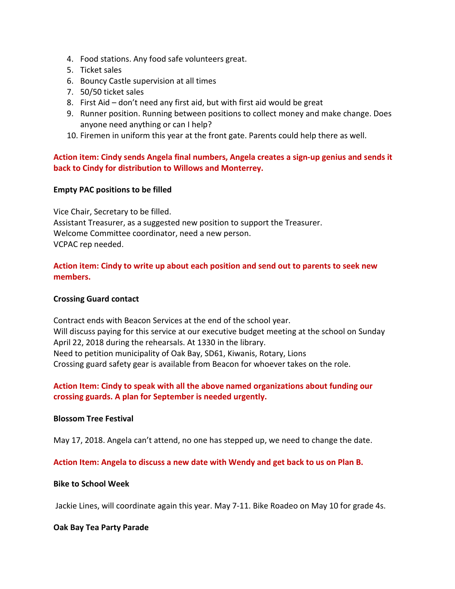- 4. Food stations. Any food safe volunteers great.
- 5. Ticket sales
- 6. Bouncy Castle supervision at all times
- 7. 50/50 ticket sales
- 8. First Aid don't need any first aid, but with first aid would be great
- 9. Runner position. Running between positions to collect money and make change. Does anyone need anything or can I help?
- 10. Firemen in uniform this year at the front gate. Parents could help there as well.

## **Action item: Cindy sends Angela final numbers, Angela creates a sign-up genius and sends it back to Cindy for distribution to Willows and Monterrey.**

## **Empty PAC positions to be filled**

Vice Chair, Secretary to be filled. Assistant Treasurer, as a suggested new position to support the Treasurer. Welcome Committee coordinator, need a new person. VCPAC rep needed.

## **Action item: Cindy to write up about each position and send out to parents to seek new members.**

## **Crossing Guard contact**

Contract ends with Beacon Services at the end of the school year. Will discuss paying for this service at our executive budget meeting at the school on Sunday April 22, 2018 during the rehearsals. At 1330 in the library. Need to petition municipality of Oak Bay, SD61, Kiwanis, Rotary, Lions Crossing guard safety gear is available from Beacon for whoever takes on the role.

## **Action Item: Cindy to speak with all the above named organizations about funding our crossing guards. A plan for September is needed urgently.**

## **Blossom Tree Festival**

May 17, 2018. Angela can't attend, no one has stepped up, we need to change the date.

**Action Item: Angela to discuss a new date with Wendy and get back to us on Plan B.**

## **Bike to School Week**

Jackie Lines, will coordinate again this year. May 7-11. Bike Roadeo on May 10 for grade 4s.

## **Oak Bay Tea Party Parade**